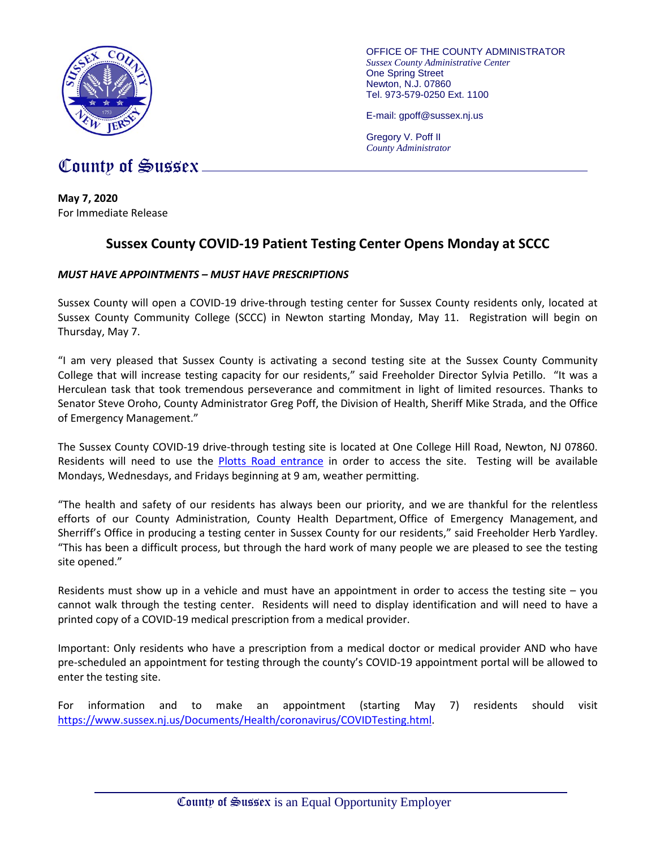

OFFICE OF THE COUNTY ADMINISTRATOR *Sussex County Administrative Center* One Spring Street Newton, N.J. 07860 Tel. 973-579-0250 Ext. 1100

E-mail: gpoff@sussex.nj.us

Gregory V. Poff II *County Administrator*

# County of Sussex

**May 7, 2020** For Immediate Release

## **Sussex County COVID-19 Patient Testing Center Opens Monday at SCCC**

### *MUST HAVE APPOINTMENTS – MUST HAVE PRESCRIPTIONS*

Sussex County will open a COVID-19 drive-through testing center for Sussex County residents only, located at Sussex County Community College (SCCC) in Newton starting Monday, May 11. Registration will begin on Thursday, May 7.

"I am very pleased that Sussex County is activating a second testing site at the Sussex County Community College that will increase testing capacity for our residents," said Freeholder Director Sylvia Petillo. "It was a Herculean task that took tremendous perseverance and commitment in light of limited resources. Thanks to Senator Steve Oroho, County Administrator Greg Poff, the Division of Health, Sheriff Mike Strada, and the Office of Emergency Management."

The Sussex County COVID-19 drive-through testing site is located at One College Hill Road, Newton, NJ 07860. Residents will need to use the [Plotts Road entrance](https://www.google.com/maps/dir/41.0703533,-74.7523449/@41.0704813,-74.7550482,17z/data=!4m2!4m1!3e0) in order to access the site. Testing will be available Mondays, Wednesdays, and Fridays beginning at 9 am, weather permitting.

"The health and safety of our residents has always been our priority, and we are thankful for the relentless efforts of our County Administration, County Health Department, Office of Emergency Management, and Sherriff's Office in producing a testing center in Sussex County for our residents," said Freeholder Herb Yardley. "This has been a difficult process, but through the hard work of many people we are pleased to see the testing site opened."

Residents must show up in a vehicle and must have an appointment in order to access the testing site – you cannot walk through the testing center. Residents will need to display identification and will need to have a printed copy of a COVID-19 medical prescription from a medical provider.

Important: Only residents who have a prescription from a medical doctor or medical provider AND who have pre-scheduled an appointment for testing through the county's COVID-19 appointment portal will be allowed to enter the testing site.

For information and to make an appointment (starting May 7) residents should visit [https://www.sussex.nj.us/Documents/Health/coronavirus/COVIDTesting.html.](https://www.sussex.nj.us/Documents/Health/coronavirus/COVIDTesting.html)